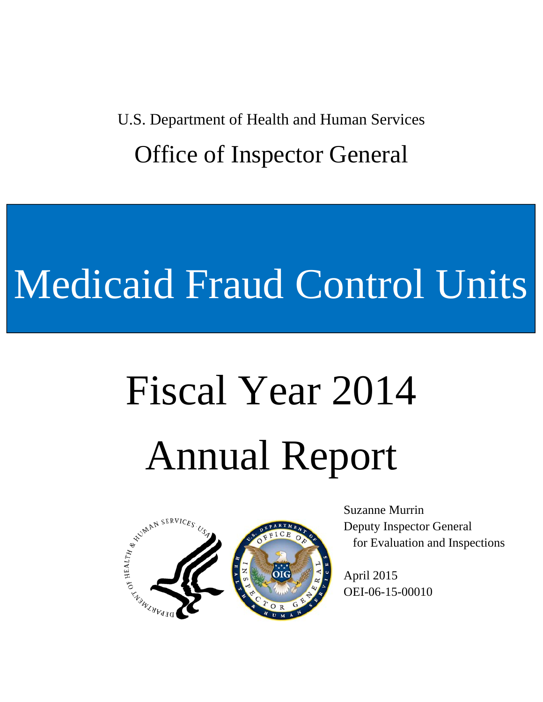U.S. Department of Health and Human Services Office of Inspector General

## Medicaid Fraud Control Units

# Fiscal Year 2014 Annual Report



Suzanne Murrin Deputy Inspector General for Evaluation and Inspections

April 2015 OEI-06-15-00010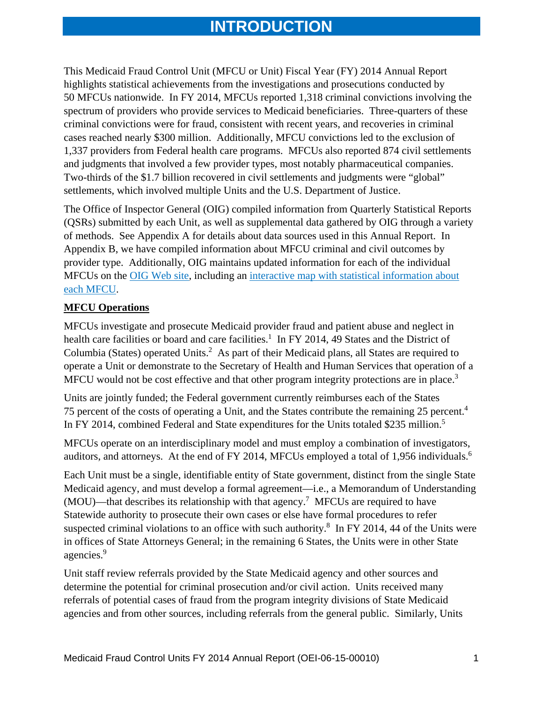## **INTRODUCTION**

This Medicaid Fraud Control Unit (MFCU or Unit) Fiscal Year (FY) 2014 Annual Report highlights statistical achievements from the investigations and prosecutions conducted by 50 MFCUs nationwide. In FY 2014, MFCUs reported 1,318 criminal convictions involving the spectrum of providers who provide services to Medicaid beneficiaries. Three-quarters of these criminal convictions were for fraud, consistent with recent years, and recoveries in criminal cases reached nearly \$300 million. Additionally, MFCU convictions led to the exclusion of 1,337 providers from Federal health care programs. MFCUs also reported 874 civil settlements and judgments that involved a few provider types, most notably pharmaceutical companies. Two-thirds of the \$1.7 billion recovered in civil settlements and judgments were "global" settlements, which involved multiple Units and the U.S. Department of Justice.

The Office of Inspector General (OIG) compiled information from Quarterly Statistical Reports (QSRs) submitted by each Unit, as well as supplemental data gathered by OIG through a variety of methods. See Appendix A for details about data sources used in this Annual Report. In Appendix B, we have compiled information about MFCU criminal and civil outcomes by provider type. Additionally, OIG maintains updated information for each of the individual MFCUs on the OIG Web site, including an interactive map with statistical information about each MFCU.

#### **MFCU Operations**

MFCU would not be cost effective and that other program integrity protections are in place.<sup>3</sup> MFCUs investigate and prosecute Medicaid provider fraud and patient abuse and neglect in health care facilities or board and care facilities.<sup>1</sup> In FY 2014, 49 States and the District of Columbia (States) operated Units.<sup>2</sup> As part of their Medicaid plans, all States are required to operate a Unit or demonstrate to the Secretary of Health and Human Services that operation of a

75 percent of the costs of operating a Unit, and the States contribute the remaining 25 percent.<sup>4</sup> In FY 2014, combined Federal and State expenditures for the Units totaled \$235 million.<sup>5</sup> Units are jointly funded; the Federal government currently reimburses each of the States

auditors, and attorneys. At the end of FY 2014, MFCUs employed a total of 1,956 individuals.<sup>6</sup> MFCUs operate on an interdisciplinary model and must employ a combination of investigators,

agencies.<sup>9</sup> Each Unit must be a single, identifiable entity of State government, distinct from the single State Medicaid agency, and must develop a formal agreement—i.e., a Memorandum of Understanding  $(MOU)$ —that describes its relationship with that agency.<sup>7</sup> MFCUs are required to have Statewide authority to prosecute their own cases or else have formal procedures to refer suspected criminal violations to an office with such authority. $8 \text{ In FY } 2014$ , 44 of the Units were in offices of State Attorneys General; in the remaining 6 States, the Units were in other State

Unit staff review referrals provided by the State Medicaid agency and other sources and determine the potential for criminal prosecution and/or civil action. Units received many referrals of potential cases of fraud from the program integrity divisions of State Medicaid agencies and from other sources, including referrals from the general public. Similarly, Units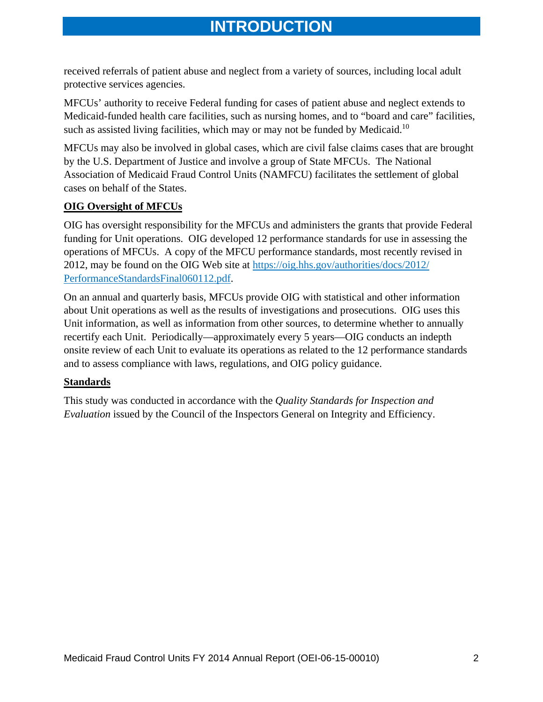received referrals of patient abuse and neglect from a variety of sources, including local adult protective services agencies.

such as assisted living facilities, which may or may not be funded by Medicaid.<sup>10</sup> MFCUs' authority to receive Federal funding for cases of patient abuse and neglect extends to Medicaid-funded health care facilities, such as nursing homes, and to "board and care" facilities,

MFCUs may also be involved in global cases, which are civil false claims cases that are brought by the U.S. Department of Justice and involve a group of State MFCUs. The National Association of Medicaid Fraud Control Units (NAMFCU) facilitates the settlement of global cases on behalf of the States.

#### **OIG Oversight of MFCUs**

OIG has oversight responsibility for the MFCUs and administers the grants that provide Federal funding for Unit operations. OIG developed 12 performance standards for use in assessing the operations of MFCUs. A copy of the MFCU performance standards, most recently revised in 2012, may be found on the OIG Web site at https://oig.hhs.gov/authorities/docs/2012/ PerformanceStandardsFinal060112.pdf.

On an annual and quarterly basis, MFCUs provide OIG with statistical and other information about Unit operations as well as the results of investigations and prosecutions. OIG uses this Unit information, as well as information from other sources, to determine whether to annually recertify each Unit. Periodically—approximately every 5 years—OIG conducts an indepth onsite review of each Unit to evaluate its operations as related to the 12 performance standards and to assess compliance with laws, regulations, and OIG policy guidance.

#### **Standards**

This study was conducted in accordance with the *Quality Standards for Inspection and Evaluation* issued by the Council of the Inspectors General on Integrity and Efficiency.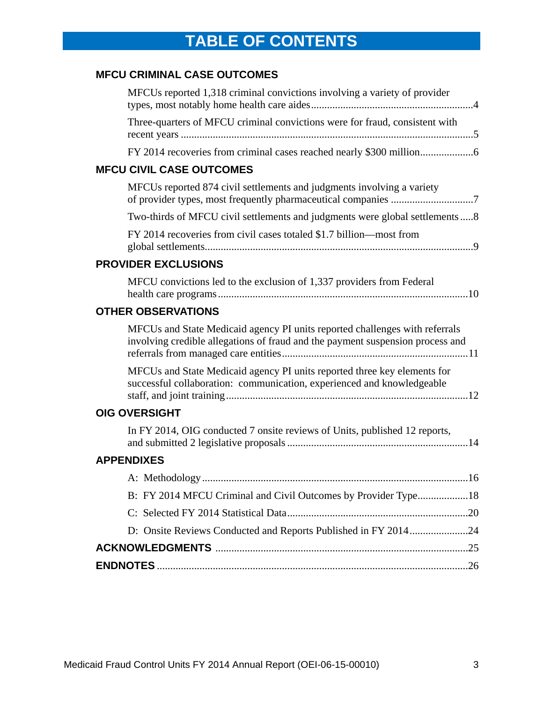## **TABLE OF CONTENTS**

## **MFCU CRIMINAL CASE OUTCOMES**

| MFCUs reported 1,318 criminal convictions involving a variety of provider                                                                                     |  |
|---------------------------------------------------------------------------------------------------------------------------------------------------------------|--|
| Three-quarters of MFCU criminal convictions were for fraud, consistent with                                                                                   |  |
|                                                                                                                                                               |  |
| <b>MFCU CIVIL CASE OUTCOMES</b>                                                                                                                               |  |
| MFCUs reported 874 civil settlements and judgments involving a variety                                                                                        |  |
| Two-thirds of MFCU civil settlements and judgments were global settlements8                                                                                   |  |
| FY 2014 recoveries from civil cases totaled \$1.7 billion-most from                                                                                           |  |
| <b>PROVIDER EXCLUSIONS</b>                                                                                                                                    |  |
| MFCU convictions led to the exclusion of 1,337 providers from Federal                                                                                         |  |
| <b>OTHER OBSERVATIONS</b>                                                                                                                                     |  |
| MFCUs and State Medicaid agency PI units reported challenges with referrals<br>involving credible allegations of fraud and the payment suspension process and |  |
| MFCUs and State Medicaid agency PI units reported three key elements for<br>successful collaboration: communication, experienced and knowledgeable            |  |
| <b>OIG OVERSIGHT</b>                                                                                                                                          |  |
| In FY 2014, OIG conducted 7 onsite reviews of Units, published 12 reports,                                                                                    |  |
| <b>APPENDIXES</b>                                                                                                                                             |  |
|                                                                                                                                                               |  |
| B: FY 2014 MFCU Criminal and Civil Outcomes by Provider Type18                                                                                                |  |
|                                                                                                                                                               |  |
| D: Onsite Reviews Conducted and Reports Published in FY 201424                                                                                                |  |
|                                                                                                                                                               |  |
|                                                                                                                                                               |  |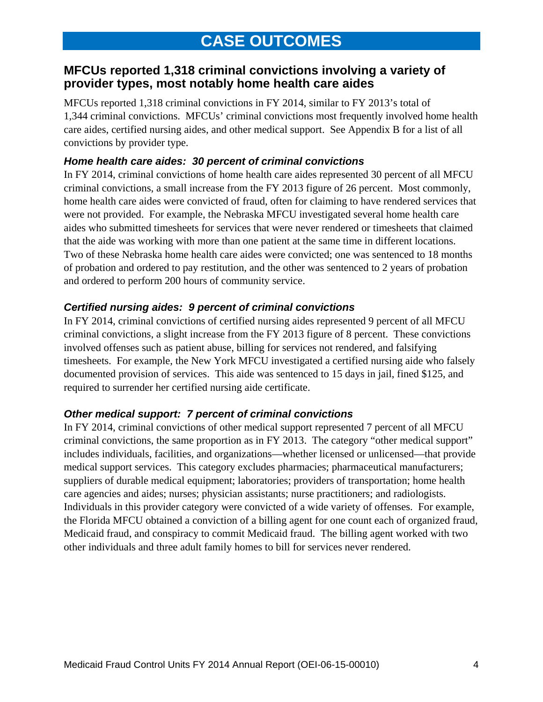## **MFCUs reported 1,318 criminal convictions involving a variety of provider types, most notably home health care aides**

MFCUs reported 1,318 criminal convictions in FY 2014, similar to FY 2013's total of 1,344 criminal convictions. MFCUs' criminal convictions most frequently involved home health care aides, certified nursing aides, and other medical support. See Appendix B for a list of all convictions by provider type.

#### *Home health care aides: 30 percent of criminal convictions*

In FY 2014, criminal convictions of home health care aides represented 30 percent of all MFCU criminal convictions, a small increase from the FY 2013 figure of 26 percent. Most commonly, home health care aides were convicted of fraud, often for claiming to have rendered services that were not provided. For example, the Nebraska MFCU investigated several home health care aides who submitted timesheets for services that were never rendered or timesheets that claimed that the aide was working with more than one patient at the same time in different locations. Two of these Nebraska home health care aides were convicted; one was sentenced to 18 months of probation and ordered to pay restitution, and the other was sentenced to 2 years of probation and ordered to perform 200 hours of community service.

#### *Certified nursing aides: 9 percent of criminal convictions*

In FY 2014, criminal convictions of certified nursing aides represented 9 percent of all MFCU criminal convictions, a slight increase from the FY 2013 figure of 8 percent. These convictions involved offenses such as patient abuse, billing for services not rendered, and falsifying timesheets. For example, the New York MFCU investigated a certified nursing aide who falsely documented provision of services. This aide was sentenced to 15 days in jail, fined \$125, and required to surrender her certified nursing aide certificate.

#### *Other medical support: 7 percent of criminal convictions*

In FY 2014, criminal convictions of other medical support represented 7 percent of all MFCU criminal convictions, the same proportion as in FY 2013. The category "other medical support" includes individuals, facilities, and organizations—whether licensed or unlicensed—that provide medical support services. This category excludes pharmacies; pharmaceutical manufacturers; suppliers of durable medical equipment; laboratories; providers of transportation; home health care agencies and aides; nurses; physician assistants; nurse practitioners; and radiologists. Individuals in this provider category were convicted of a wide variety of offenses. For example, the Florida MFCU obtained a conviction of a billing agent for one count each of organized fraud, Medicaid fraud, and conspiracy to commit Medicaid fraud. The billing agent worked with two other individuals and three adult family homes to bill for services never rendered.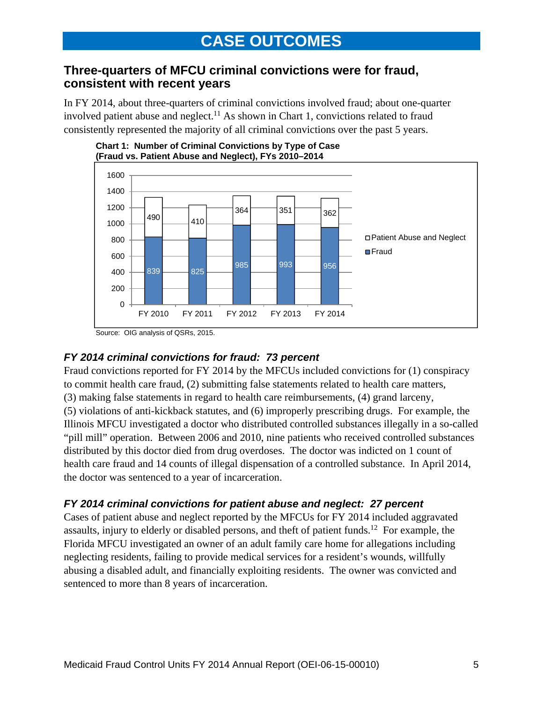## **Three-quarters of MFCU criminal convictions were for fraud, consistent with recent years**

In FY 2014, about three-quarters of criminal convictions involved fraud; about one-quarter involved patient abuse and neglect.<sup>11</sup> As shown in Chart 1, convictions related to fraud consistently represented the majority of all criminal convictions over the past 5 years.





Source: OIG analysis of QSRs, 2015.

## *FY 2014 criminal convictions for fraud: 73 percent*

Fraud convictions reported for FY 2014 by the MFCUs included convictions for (1) conspiracy to commit health care fraud, (2) submitting false statements related to health care matters, (3) making false statements in regard to health care reimbursements, (4) grand larceny, (5) violations of anti-kickback statutes, and (6) improperly prescribing drugs. For example, the Illinois MFCU investigated a doctor who distributed controlled substances illegally in a so-called "pill mill" operation. Between 2006 and 2010, nine patients who received controlled substances distributed by this doctor died from drug overdoses. The doctor was indicted on 1 count of health care fraud and 14 counts of illegal dispensation of a controlled substance. In April 2014, the doctor was sentenced to a year of incarceration.

## *FY 2014 criminal convictions for patient abuse and neglect: 27 percent*

Cases of patient abuse and neglect reported by the MFCUs for FY 2014 included aggravated assaults, injury to elderly or disabled persons, and theft of patient funds.12 For example, the Florida MFCU investigated an owner of an adult family care home for allegations including neglecting residents, failing to provide medical services for a resident's wounds, willfully abusing a disabled adult, and financially exploiting residents. The owner was convicted and sentenced to more than 8 years of incarceration.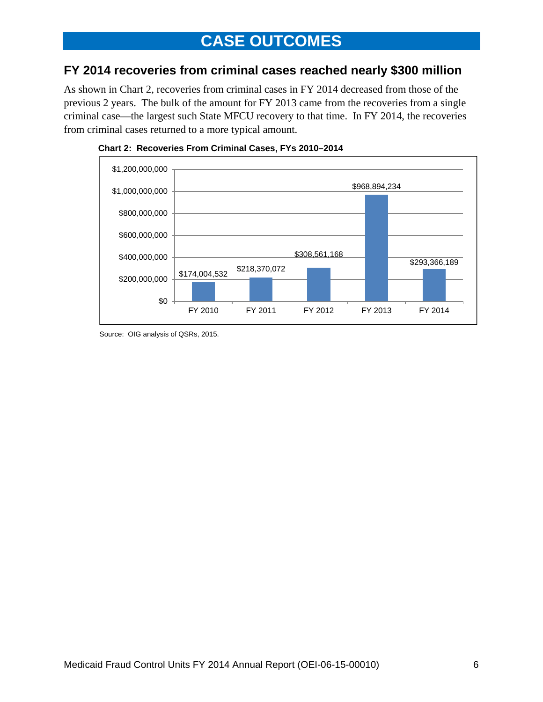## **CASE OUTCOMES**

## **FY 2014 recoveries from criminal cases reached nearly \$300 million**

As shown in Chart 2, recoveries from criminal cases in FY 2014 decreased from those of the previous 2 years. The bulk of the amount for FY 2013 came from the recoveries from a single criminal case—the largest such State MFCU recovery to that time. In FY 2014, the recoveries from criminal cases returned to a more typical amount.





Source: OIG analysis of QSRs, 2015.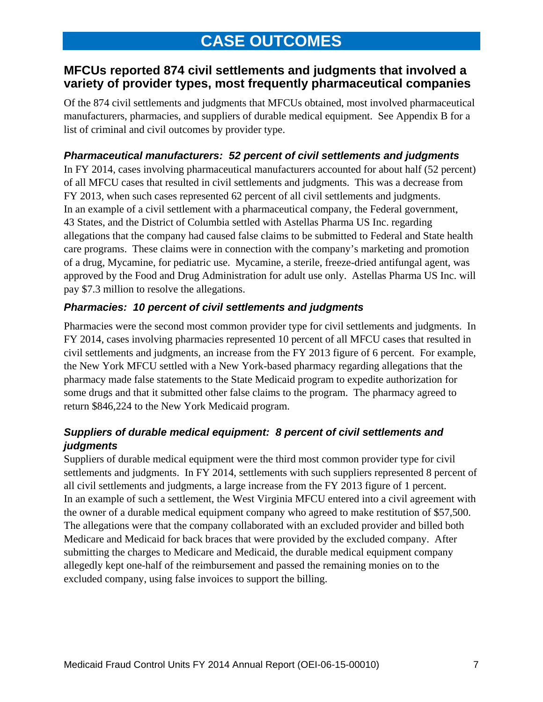## **MFCUs reported 874 civil settlements and judgments that involved a variety of provider types, most frequently pharmaceutical companies**

Of the 874 civil settlements and judgments that MFCUs obtained, most involved pharmaceutical manufacturers, pharmacies, and suppliers of durable medical equipment. See Appendix B for a list of criminal and civil outcomes by provider type.

## *Pharmaceutical manufacturers: 52 percent of civil settlements and judgments*

In FY 2014, cases involving pharmaceutical manufacturers accounted for about half (52 percent) of all MFCU cases that resulted in civil settlements and judgments. This was a decrease from FY 2013, when such cases represented 62 percent of all civil settlements and judgments. In an example of a civil settlement with a pharmaceutical company, the Federal government, 43 States, and the District of Columbia settled with Astellas Pharma US Inc. regarding allegations that the company had caused false claims to be submitted to Federal and State health care programs. These claims were in connection with the company's marketing and promotion of a drug, Mycamine, for pediatric use. Mycamine, a sterile, freeze-dried antifungal agent, was approved by the Food and Drug Administration for adult use only. Astellas Pharma US Inc. will pay \$7.3 million to resolve the allegations.

#### *Pharmacies: 10 percent of civil settlements and judgments*

Pharmacies were the second most common provider type for civil settlements and judgments. In FY 2014, cases involving pharmacies represented 10 percent of all MFCU cases that resulted in civil settlements and judgments, an increase from the FY 2013 figure of 6 percent. For example, the New York MFCU settled with a New York-based pharmacy regarding allegations that the pharmacy made false statements to the State Medicaid program to expedite authorization for some drugs and that it submitted other false claims to the program. The pharmacy agreed to return \$846,224 to the New York Medicaid program.

#### *Suppliers of durable medical equipment: 8 percent of civil settlements and judgments*

Suppliers of durable medical equipment were the third most common provider type for civil settlements and judgments. In FY 2014, settlements with such suppliers represented 8 percent of all civil settlements and judgments, a large increase from the FY 2013 figure of 1 percent. In an example of such a settlement, the West Virginia MFCU entered into a civil agreement with the owner of a durable medical equipment company who agreed to make restitution of \$57,500. The allegations were that the company collaborated with an excluded provider and billed both Medicare and Medicaid for back braces that were provided by the excluded company. After submitting the charges to Medicare and Medicaid, the durable medical equipment company allegedly kept one-half of the reimbursement and passed the remaining monies on to the excluded company, using false invoices to support the billing.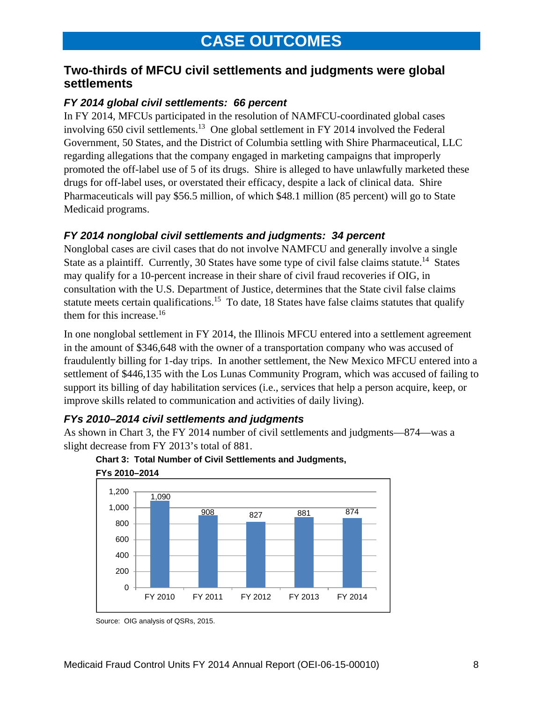## **Two-thirds of MFCU civil settlements and judgments were global settlements**

#### *FY 2014 global civil settlements: 66 percent*

In FY 2014, MFCUs participated in the resolution of NAMFCU-coordinated global cases involving 650 civil settlements.<sup>13</sup> One global settlement in FY 2014 involved the Federal Government, 50 States, and the District of Columbia settling with Shire Pharmaceutical, LLC regarding allegations that the company engaged in marketing campaigns that improperly promoted the off-label use of 5 of its drugs. Shire is alleged to have unlawfully marketed these drugs for off-label uses, or overstated their efficacy, despite a lack of clinical data. Shire Pharmaceuticals will pay \$56.5 million, of which \$48.1 million (85 percent) will go to State Medicaid programs.

## *FY 2014 nonglobal civil settlements and judgments: 34 percent*

Nonglobal cases are civil cases that do not involve NAMFCU and generally involve a single State as a plaintiff. Currently, 30 States have some type of civil false claims statute.<sup>14</sup> States may qualify for a 10-percent increase in their share of civil fraud recoveries if OIG, in consultation with the U.S. Department of Justice, determines that the State civil false claims statute meets certain qualifications.<sup>15</sup> To date, 18 States have false claims statutes that qualify them for this increase.<sup>16</sup>

In one nonglobal settlement in FY 2014, the Illinois MFCU entered into a settlement agreement in the amount of \$346,648 with the owner of a transportation company who was accused of fraudulently billing for 1-day trips. In another settlement, the New Mexico MFCU entered into a settlement of \$446,135 with the Los Lunas Community Program, which was accused of failing to support its billing of day habilitation services (i.e., services that help a person acquire, keep, or improve skills related to communication and activities of daily living).

## *FYs 2010–2014 civil settlements and judgments*

As shown in Chart 3, the FY 2014 number of civil settlements and judgments—874—was a slight decrease from FY 2013's total of 881.





Source: OIG analysis of QSRs, 2015.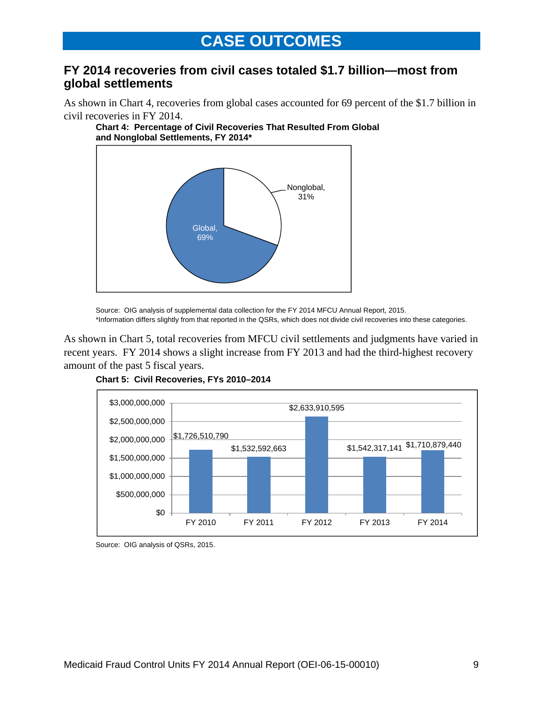## **FY 2014 recoveries from civil cases totaled \$1.7 billion—most from global settlements**

As shown in Chart 4, recoveries from global cases accounted for 69 percent of the \$1.7 billion in civil recoveries in FY 2014.





Source: OIG analysis of supplemental data collection for the FY 2014 MFCU Annual Report, 2015. \*Information differs slightly from that reported in the QSRs, which does not divide civil recoveries into these categories.

As shown in Chart 5, total recoveries from MFCU civil settlements and judgments have varied in recent years. FY 2014 shows a slight increase from FY 2013 and had the third-highest recovery amount of the past 5 fiscal years.



**Chart 5: Civil Recoveries, FYs 2010–2014** 

Source: OIG analysis of QSRs, 2015.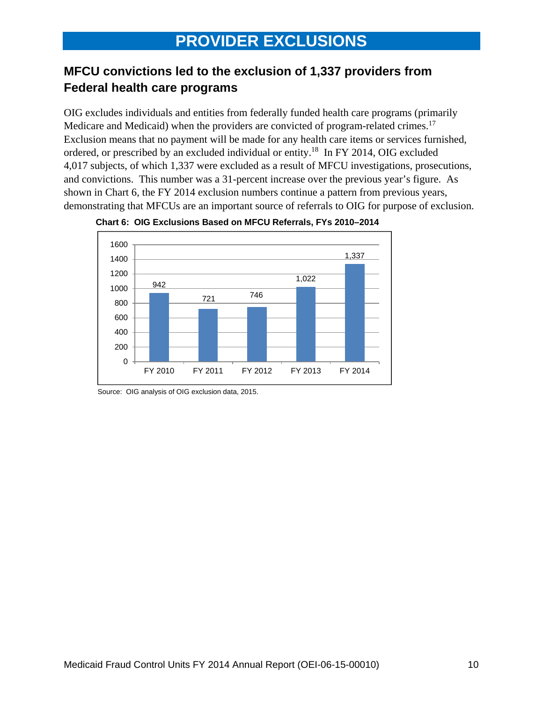## **MFCU convictions led to the exclusion of 1,337 providers from Federal health care programs**

Medicare and Medicaid) when the providers are convicted of program-related crimes.<sup>17</sup> OIG excludes individuals and entities from federally funded health care programs (primarily Exclusion means that no payment will be made for any health care items or services furnished, ordered, or prescribed by an excluded individual or entity.18 In FY 2014, OIG excluded 4,017 subjects, of which 1,337 were excluded as a result of MFCU investigations, prosecutions, and convictions. This number was a 31-percent increase over the previous year's figure. As shown in Chart 6, the FY 2014 exclusion numbers continue a pattern from previous years, demonstrating that MFCUs are an important source of referrals to OIG for purpose of exclusion.





Source: OIG analysis of OIG exclusion data, 2015.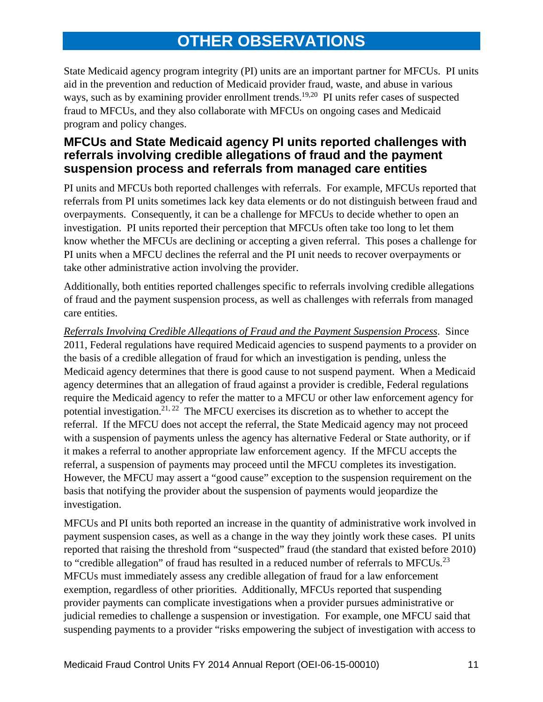## **OTHER OBSERVATIONS**

State Medicaid agency program integrity (PI) units are an important partner for MFCUs. PI units aid in the prevention and reduction of Medicaid provider fraud, waste, and abuse in various ways, such as by examining provider enrollment trends.<sup>19,20</sup> PI units refer cases of suspected fraud to MFCUs, and they also collaborate with MFCUs on ongoing cases and Medicaid program and policy changes.

## **MFCUs and State Medicaid agency PI units reported challenges with referrals involving credible allegations of fraud and the payment suspension process and referrals from managed care entities**

PI units and MFCUs both reported challenges with referrals. For example, MFCUs reported that referrals from PI units sometimes lack key data elements or do not distinguish between fraud and overpayments. Consequently, it can be a challenge for MFCUs to decide whether to open an investigation. PI units reported their perception that MFCUs often take too long to let them know whether the MFCUs are declining or accepting a given referral. This poses a challenge for PI units when a MFCU declines the referral and the PI unit needs to recover overpayments or take other administrative action involving the provider.

Additionally, both entities reported challenges specific to referrals involving credible allegations of fraud and the payment suspension process, as well as challenges with referrals from managed care entities.

*Referrals Involving Credible Allegations of Fraud and the Payment Suspension Process*. Since 2011, Federal regulations have required Medicaid agencies to suspend payments to a provider on the basis of a credible allegation of fraud for which an investigation is pending, unless the Medicaid agency determines that there is good cause to not suspend payment. When a Medicaid agency determines that an allegation of fraud against a provider is credible, Federal regulations require the Medicaid agency to refer the matter to a MFCU or other law enforcement agency for potential investigation.<sup>21, 22</sup> The MFCU exercises its discretion as to whether to accept the referral. If the MFCU does not accept the referral, the State Medicaid agency may not proceed with a suspension of payments unless the agency has alternative Federal or State authority, or if it makes a referral to another appropriate law enforcement agency. If the MFCU accepts the referral, a suspension of payments may proceed until the MFCU completes its investigation. However, the MFCU may assert a "good cause" exception to the suspension requirement on the basis that notifying the provider about the suspension of payments would jeopardize the investigation.

to "credible allegation" of fraud has resulted in a reduced number of referrals to MFCUs.<sup>23</sup> MFCUs and PI units both reported an increase in the quantity of administrative work involved in payment suspension cases, as well as a change in the way they jointly work these cases. PI units reported that raising the threshold from "suspected" fraud (the standard that existed before 2010) MFCUs must immediately assess any credible allegation of fraud for a law enforcement exemption, regardless of other priorities. Additionally, MFCUs reported that suspending provider payments can complicate investigations when a provider pursues administrative or judicial remedies to challenge a suspension or investigation. For example, one MFCU said that suspending payments to a provider "risks empowering the subject of investigation with access to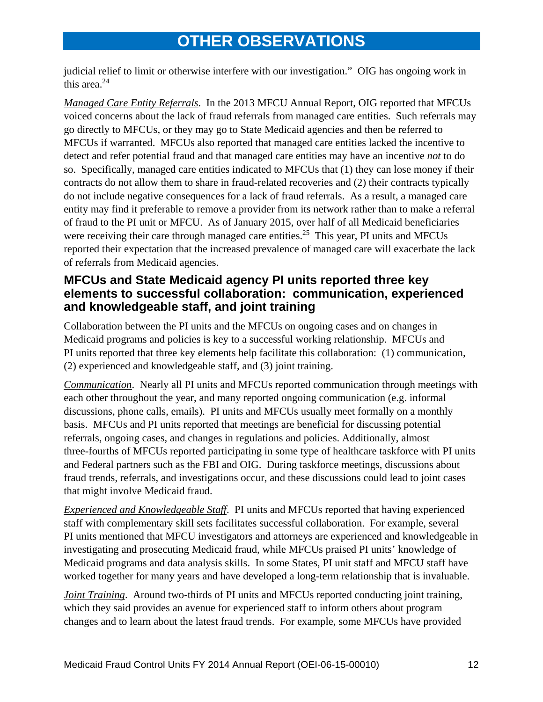## **OTHER OBSERVATIONS**

this area. $24$ judicial relief to limit or otherwise interfere with our investigation." OIG has ongoing work in

*Managed Care Entity Referrals*. In the 2013 MFCU Annual Report, OIG reported that MFCUs voiced concerns about the lack of fraud referrals from managed care entities. Such referrals may go directly to MFCUs, or they may go to State Medicaid agencies and then be referred to MFCUs if warranted. MFCUs also reported that managed care entities lacked the incentive to detect and refer potential fraud and that managed care entities may have an incentive *not* to do so. Specifically, managed care entities indicated to MFCUs that (1) they can lose money if their contracts do not allow them to share in fraud-related recoveries and (2) their contracts typically do not include negative consequences for a lack of fraud referrals. As a result, a managed care entity may find it preferable to remove a provider from its network rather than to make a referral of fraud to the PI unit or MFCU. As of January 2015, over half of all Medicaid beneficiaries were receiving their care through managed care entities.<sup>25</sup> This year, PI units and MFCUs reported their expectation that the increased prevalence of managed care will exacerbate the lack of referrals from Medicaid agencies.

## **MFCUs and State Medicaid agency PI units reported three key elements to successful collaboration: communication, experienced and knowledgeable staff, and joint training**

Collaboration between the PI units and the MFCUs on ongoing cases and on changes in Medicaid programs and policies is key to a successful working relationship. MFCUs and PI units reported that three key elements help facilitate this collaboration: (1) communication, (2) experienced and knowledgeable staff, and (3) joint training.

*Communication*. Nearly all PI units and MFCUs reported communication through meetings with each other throughout the year, and many reported ongoing communication (e.g. informal discussions, phone calls, emails). PI units and MFCUs usually meet formally on a monthly basis. MFCUs and PI units reported that meetings are beneficial for discussing potential referrals, ongoing cases, and changes in regulations and policies. Additionally, almost three-fourths of MFCUs reported participating in some type of healthcare taskforce with PI units and Federal partners such as the FBI and OIG. During taskforce meetings, discussions about fraud trends, referrals, and investigations occur, and these discussions could lead to joint cases that might involve Medicaid fraud.

*Experienced and Knowledgeable Staff*. PI units and MFCUs reported that having experienced staff with complementary skill sets facilitates successful collaboration. For example, several PI units mentioned that MFCU investigators and attorneys are experienced and knowledgeable in investigating and prosecuting Medicaid fraud, while MFCUs praised PI units' knowledge of Medicaid programs and data analysis skills. In some States, PI unit staff and MFCU staff have worked together for many years and have developed a long-term relationship that is invaluable.

*Joint Training*. Around two-thirds of PI units and MFCUs reported conducting joint training, which they said provides an avenue for experienced staff to inform others about program changes and to learn about the latest fraud trends. For example, some MFCUs have provided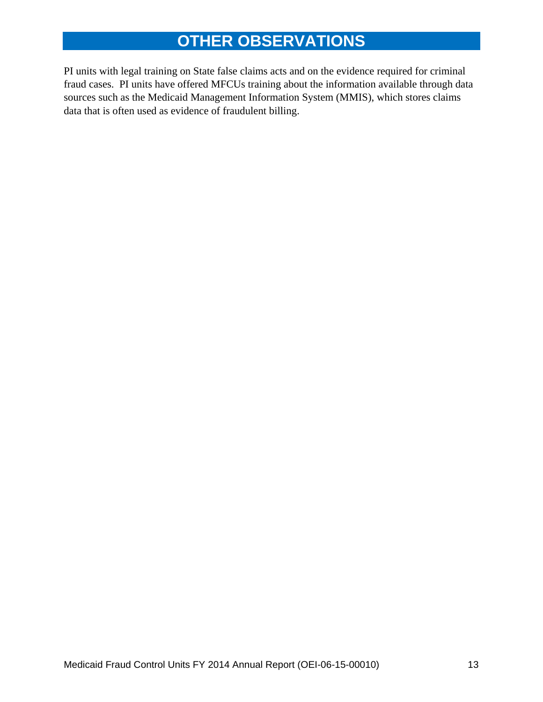## **OTHER OBSERVATIONS**

PI units with legal training on State false claims acts and on the evidence required for criminal fraud cases. PI units have offered MFCUs training about the information available through data sources such as the Medicaid Management Information System (MMIS), which stores claims data that is often used as evidence of fraudulent billing.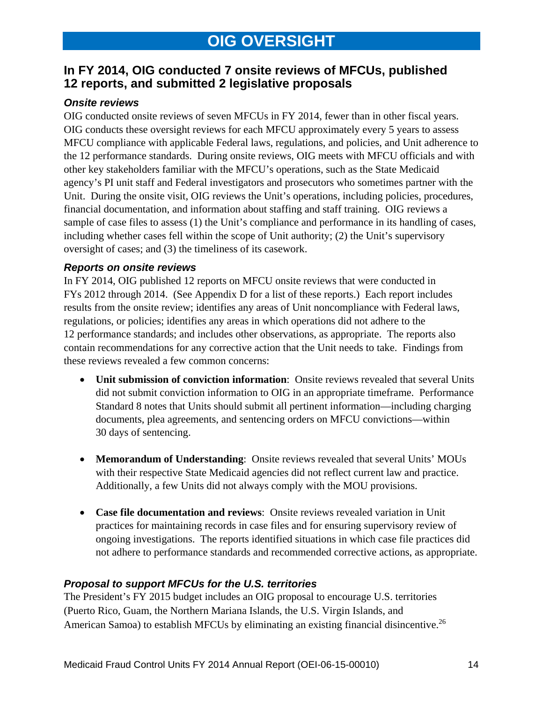## **In FY 2014, OIG conducted 7 onsite reviews of MFCUs, published 12 reports, and submitted 2 legislative proposals**

#### *Onsite reviews*

OIG conducted onsite reviews of seven MFCUs in FY 2014, fewer than in other fiscal years. OIG conducts these oversight reviews for each MFCU approximately every 5 years to assess MFCU compliance with applicable Federal laws, regulations, and policies, and Unit adherence to the 12 performance standards. During onsite reviews, OIG meets with MFCU officials and with other key stakeholders familiar with the MFCU's operations, such as the State Medicaid agency's PI unit staff and Federal investigators and prosecutors who sometimes partner with the Unit. During the onsite visit, OIG reviews the Unit's operations, including policies, procedures, financial documentation, and information about staffing and staff training. OIG reviews a sample of case files to assess (1) the Unit's compliance and performance in its handling of cases, including whether cases fell within the scope of Unit authority; (2) the Unit's supervisory oversight of cases; and (3) the timeliness of its casework.

#### *Reports on onsite reviews*

In FY 2014, OIG published 12 reports on MFCU onsite reviews that were conducted in FYs 2012 through 2014. (See Appendix D for a list of these reports.) Each report includes results from the onsite review; identifies any areas of Unit noncompliance with Federal laws, regulations, or policies; identifies any areas in which operations did not adhere to the 12 performance standards; and includes other observations, as appropriate. The reports also contain recommendations for any corrective action that the Unit needs to take. Findings from these reviews revealed a few common concerns:

- **Unit submission of conviction information**: Onsite reviews revealed that several Units did not submit conviction information to OIG in an appropriate timeframe. Performance Standard 8 notes that Units should submit all pertinent information—including charging documents, plea agreements, and sentencing orders on MFCU convictions—within 30 days of sentencing.
- **Memorandum of Understanding**: Onsite reviews revealed that several Units' MOUs with their respective State Medicaid agencies did not reflect current law and practice. Additionally, a few Units did not always comply with the MOU provisions.
- **Case file documentation and reviews**: Onsite reviews revealed variation in Unit practices for maintaining records in case files and for ensuring supervisory review of ongoing investigations. The reports identified situations in which case file practices did not adhere to performance standards and recommended corrective actions, as appropriate.

#### *Proposal to support MFCUs for the U.S. territories*

American Samoa) to establish MFCUs by eliminating an existing financial disincentive.<sup>26</sup> The President's FY 2015 budget includes an OIG proposal to encourage U.S. territories (Puerto Rico, Guam, the Northern Mariana Islands, the U.S. Virgin Islands, and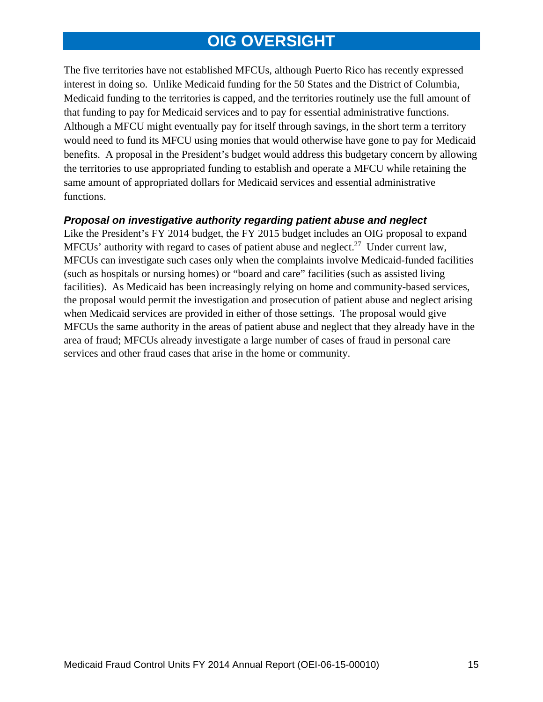## **OIG OVERSIGHT**

The five territories have not established MFCUs, although Puerto Rico has recently expressed interest in doing so. Unlike Medicaid funding for the 50 States and the District of Columbia, Medicaid funding to the territories is capped, and the territories routinely use the full amount of that funding to pay for Medicaid services and to pay for essential administrative functions. Although a MFCU might eventually pay for itself through savings, in the short term a territory would need to fund its MFCU using monies that would otherwise have gone to pay for Medicaid benefits. A proposal in the President's budget would address this budgetary concern by allowing the territories to use appropriated funding to establish and operate a MFCU while retaining the same amount of appropriated dollars for Medicaid services and essential administrative functions.

#### *Proposal on investigative authority regarding patient abuse and neglect*

Like the President's FY 2014 budget, the FY 2015 budget includes an OIG proposal to expand MFCUs' authority with regard to cases of patient abuse and neglect.<sup>27</sup> Under current law, MFCUs can investigate such cases only when the complaints involve Medicaid-funded facilities (such as hospitals or nursing homes) or "board and care" facilities (such as assisted living facilities). As Medicaid has been increasingly relying on home and community-based services, the proposal would permit the investigation and prosecution of patient abuse and neglect arising when Medicaid services are provided in either of those settings. The proposal would give MFCUs the same authority in the areas of patient abuse and neglect that they already have in the area of fraud; MFCUs already investigate a large number of cases of fraud in personal care services and other fraud cases that arise in the home or community.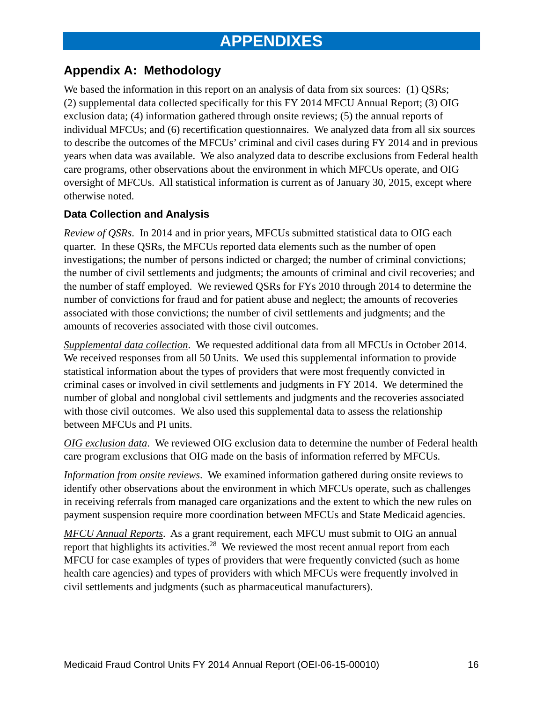## **Appendix A: Methodology**

We based the information in this report on an analysis of data from six sources: (1) QSRs; (2) supplemental data collected specifically for this FY 2014 MFCU Annual Report; (3) OIG exclusion data; (4) information gathered through onsite reviews; (5) the annual reports of individual MFCUs; and (6) recertification questionnaires. We analyzed data from all six sources to describe the outcomes of the MFCUs' criminal and civil cases during FY 2014 and in previous years when data was available. We also analyzed data to describe exclusions from Federal health care programs, other observations about the environment in which MFCUs operate, and OIG oversight of MFCUs. All statistical information is current as of January 30, 2015, except where otherwise noted.

#### **Data Collection and Analysis**

*Review of QSRs*. In 2014 and in prior years, MFCUs submitted statistical data to OIG each quarter. In these QSRs, the MFCUs reported data elements such as the number of open investigations; the number of persons indicted or charged; the number of criminal convictions; the number of civil settlements and judgments; the amounts of criminal and civil recoveries; and the number of staff employed. We reviewed QSRs for FYs 2010 through 2014 to determine the number of convictions for fraud and for patient abuse and neglect; the amounts of recoveries associated with those convictions; the number of civil settlements and judgments; and the amounts of recoveries associated with those civil outcomes.

*Supplemental data collection*. We requested additional data from all MFCUs in October 2014. We received responses from all 50 Units. We used this supplemental information to provide statistical information about the types of providers that were most frequently convicted in criminal cases or involved in civil settlements and judgments in FY 2014. We determined the number of global and nonglobal civil settlements and judgments and the recoveries associated with those civil outcomes. We also used this supplemental data to assess the relationship between MFCUs and PI units.

*OIG exclusion data*. We reviewed OIG exclusion data to determine the number of Federal health care program exclusions that OIG made on the basis of information referred by MFCUs.

*Information from onsite reviews*. We examined information gathered during onsite reviews to identify other observations about the environment in which MFCUs operate, such as challenges in receiving referrals from managed care organizations and the extent to which the new rules on payment suspension require more coordination between MFCUs and State Medicaid agencies.

 *MFCU Annual Reports*. As a grant requirement, each MFCU must submit to OIG an annual report that highlights its activities.<sup>28</sup> We reviewed the most recent annual report from each MFCU for case examples of types of providers that were frequently convicted (such as home health care agencies) and types of providers with which MFCUs were frequently involved in civil settlements and judgments (such as pharmaceutical manufacturers).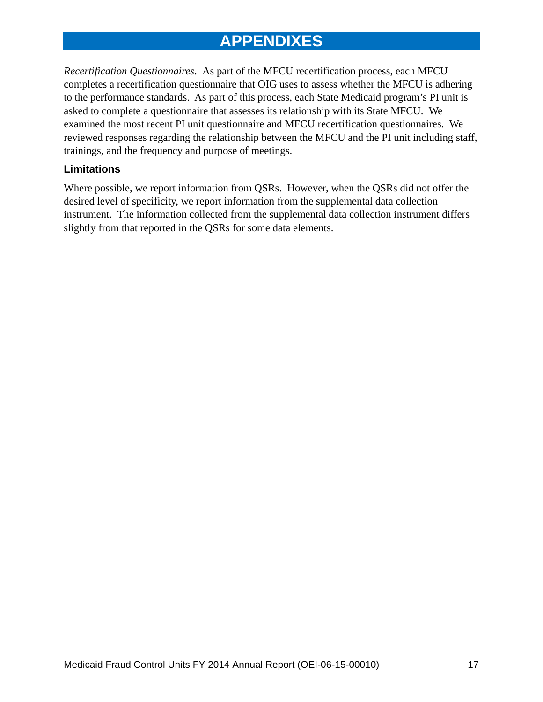*Recertification Questionnaires*. As part of the MFCU recertification process, each MFCU completes a recertification questionnaire that OIG uses to assess whether the MFCU is adhering to the performance standards. As part of this process, each State Medicaid program's PI unit is asked to complete a questionnaire that assesses its relationship with its State MFCU. We examined the most recent PI unit questionnaire and MFCU recertification questionnaires. We reviewed responses regarding the relationship between the MFCU and the PI unit including staff, trainings, and the frequency and purpose of meetings.

#### **Limitations**

Where possible, we report information from QSRs. However, when the QSRs did not offer the desired level of specificity, we report information from the supplemental data collection instrument. The information collected from the supplemental data collection instrument differs slightly from that reported in the QSRs for some data elements.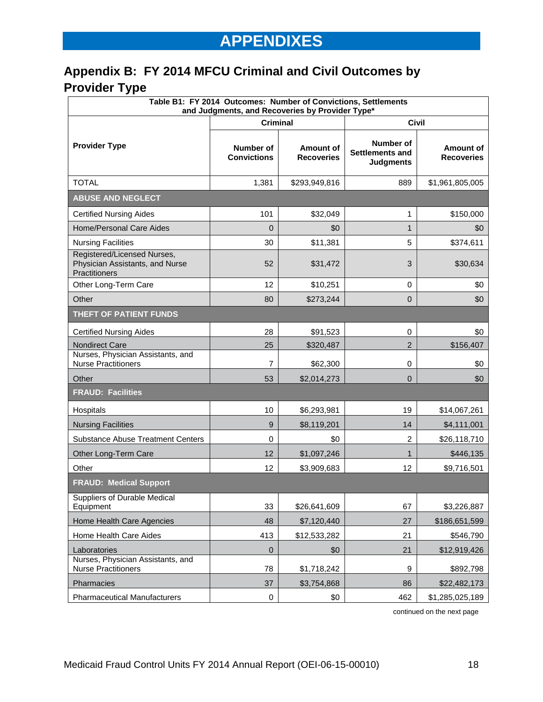## **Appendix B: FY 2014 MFCU Criminal and Civil Outcomes by Provider Type**

| Table B1: FY 2014 Outcomes: Number of Convictions, Settlements<br>and Judgments, and Recoveries by Provider Type* |                                        |                                |                                                         |                                |  |  |  |
|-------------------------------------------------------------------------------------------------------------------|----------------------------------------|--------------------------------|---------------------------------------------------------|--------------------------------|--|--|--|
|                                                                                                                   | <b>Criminal</b>                        |                                | <b>Civil</b>                                            |                                |  |  |  |
| <b>Provider Type</b>                                                                                              | <b>Number of</b><br><b>Convictions</b> | Amount of<br><b>Recoveries</b> | Number of<br><b>Settlements and</b><br><b>Judgments</b> | Amount of<br><b>Recoveries</b> |  |  |  |
| <b>TOTAL</b>                                                                                                      | 1,381                                  | \$293,949,816                  | 889                                                     | \$1,961,805,005                |  |  |  |
| <b>ABUSE AND NEGLECT</b>                                                                                          |                                        |                                |                                                         |                                |  |  |  |
| <b>Certified Nursing Aides</b>                                                                                    | 101                                    | \$32,049                       | 1                                                       | \$150,000                      |  |  |  |
| <b>Home/Personal Care Aides</b>                                                                                   | $\Omega$                               | \$0                            | $\mathbf{1}$                                            | \$0                            |  |  |  |
| <b>Nursing Facilities</b>                                                                                         | 30                                     | \$11,381                       | 5                                                       | \$374,611                      |  |  |  |
| Registered/Licensed Nurses,<br>Physician Assistants, and Nurse<br>Practitioners                                   | 52                                     | \$31,472                       | 3                                                       | \$30,634                       |  |  |  |
| Other Long-Term Care                                                                                              | 12                                     | \$10,251                       | 0                                                       | \$0                            |  |  |  |
| Other                                                                                                             | 80                                     | \$273,244                      | $\overline{0}$                                          | \$0                            |  |  |  |
| THEFT OF PATIENT FUNDS                                                                                            |                                        |                                |                                                         |                                |  |  |  |
| <b>Certified Nursing Aides</b>                                                                                    | 28                                     | \$91,523                       | 0                                                       | \$0                            |  |  |  |
| Nondirect Care                                                                                                    | 25                                     | \$320,487                      | $\overline{2}$                                          | \$156,407                      |  |  |  |
| Nurses, Physician Assistants, and<br><b>Nurse Practitioners</b>                                                   | 7                                      | \$62,300                       | 0                                                       | \$0                            |  |  |  |
| Other                                                                                                             | 53                                     | \$2,014,273                    | $\overline{0}$                                          | \$0                            |  |  |  |
| <b>FRAUD: Facilities</b>                                                                                          |                                        |                                |                                                         |                                |  |  |  |
| Hospitals                                                                                                         | 10                                     | \$6,293,981                    | 19                                                      | \$14,067,261                   |  |  |  |
| <b>Nursing Facilities</b>                                                                                         | 9                                      | \$8,119,201                    | 14                                                      | \$4,111,001                    |  |  |  |
| <b>Substance Abuse Treatment Centers</b>                                                                          | 0                                      | \$0                            | $\overline{c}$                                          | \$26,118,710                   |  |  |  |
| Other Long-Term Care                                                                                              | 12                                     | \$1,097,246                    | 1                                                       | \$446,135                      |  |  |  |
| Other                                                                                                             | 12                                     | \$3,909,683                    | 12                                                      | \$9,716,501                    |  |  |  |
| <b>FRAUD: Medical Support</b>                                                                                     |                                        |                                |                                                         |                                |  |  |  |
| Suppliers of Durable Medical<br>Equipment                                                                         | 33                                     | \$26,641,609                   | 67                                                      | \$3,226,887                    |  |  |  |
| Home Health Care Agencies                                                                                         | 48                                     | \$7,120,440                    | 27                                                      | \$186,651,599                  |  |  |  |
| Home Health Care Aides                                                                                            | 413                                    | \$12,533,282                   | 21                                                      | \$546,790                      |  |  |  |
| Laboratories                                                                                                      | $\mathbf 0$                            | \$0                            | 21                                                      | \$12,919,426                   |  |  |  |
| Nurses, Physician Assistants, and<br><b>Nurse Practitioners</b>                                                   | 78                                     | \$1,718,242                    | 9                                                       | \$892,798                      |  |  |  |
| Pharmacies                                                                                                        | 37                                     | \$3,754,868                    | 86                                                      | \$22,482,173                   |  |  |  |
| <b>Pharmaceutical Manufacturers</b>                                                                               | 0                                      | \$0                            | 462                                                     | \$1,285,025,189                |  |  |  |

continued on the next page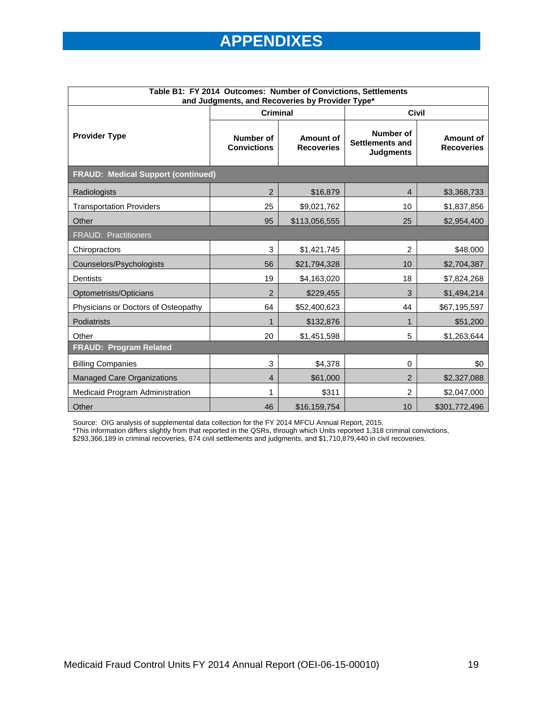| Table B1: FY 2014 Outcomes: Number of Convictions, Settlements<br>and Judgments, and Recoveries by Provider Type* |                                 |                                |                                                  |                                |  |  |
|-------------------------------------------------------------------------------------------------------------------|---------------------------------|--------------------------------|--------------------------------------------------|--------------------------------|--|--|
|                                                                                                                   | <b>Criminal</b>                 |                                | <b>Civil</b>                                     |                                |  |  |
| <b>Provider Type</b>                                                                                              | Number of<br><b>Convictions</b> | Amount of<br><b>Recoveries</b> | Number of<br>Settlements and<br><b>Judgments</b> | Amount of<br><b>Recoveries</b> |  |  |
| <b>FRAUD: Medical Support (continued)</b>                                                                         |                                 |                                |                                                  |                                |  |  |
| Radiologists                                                                                                      | $\overline{2}$                  | \$16,879                       | $\overline{4}$                                   | \$3,368,733                    |  |  |
| <b>Transportation Providers</b>                                                                                   | 25                              | \$9,021,762                    | 10                                               | \$1,837,856                    |  |  |
| Other                                                                                                             | 95                              | \$113,056,555                  | 25                                               | \$2,954,400                    |  |  |
| <b>FRAUD: Practitioners</b>                                                                                       |                                 |                                |                                                  |                                |  |  |
| Chiropractors                                                                                                     | 3                               | \$1,421,745                    | 2                                                | \$48,000                       |  |  |
| Counselors/Psychologists                                                                                          | 56                              | \$21,794,328                   | 10                                               | \$2,704,387                    |  |  |
| Dentists                                                                                                          | 19                              | \$4,163,020                    | 18                                               | \$7,824,268                    |  |  |
| Optometrists/Opticians                                                                                            | $\overline{2}$                  | \$229,455                      | 3                                                | \$1,494,214                    |  |  |
| Physicians or Doctors of Osteopathy                                                                               | 64                              | \$52,400,623                   | 44                                               | \$67,195,597                   |  |  |
| Podiatrists                                                                                                       | 1                               | \$132,876                      | 1                                                | \$51,200                       |  |  |
| Other                                                                                                             | 20                              | \$1,451,598                    | 5                                                | \$1,263,644                    |  |  |
| <b>FRAUD: Program Related</b>                                                                                     |                                 |                                |                                                  |                                |  |  |
| <b>Billing Companies</b>                                                                                          | 3                               | \$4,378                        | 0                                                | \$0                            |  |  |
| <b>Managed Care Organizations</b>                                                                                 | 4                               | \$61,000                       | $\overline{2}$                                   | \$2,327,088                    |  |  |
| Medicaid Program Administration                                                                                   | 1                               | \$311                          | $\overline{2}$                                   | \$2,047,000                    |  |  |
| Other                                                                                                             | 46                              | \$16,159,754                   | 10                                               | \$301,772,496                  |  |  |

Source: OIG analysis of supplemental data collection for the FY 2014 MFCU Annual Report, 2015.

\*This information differs slightly from that reported in the QSRs, through which Units reported 1,318 criminal convictions,

\$293,366,189 in criminal recoveries, 874 civil settlements and judgments, and \$1,710,879,440 in civil recoveries.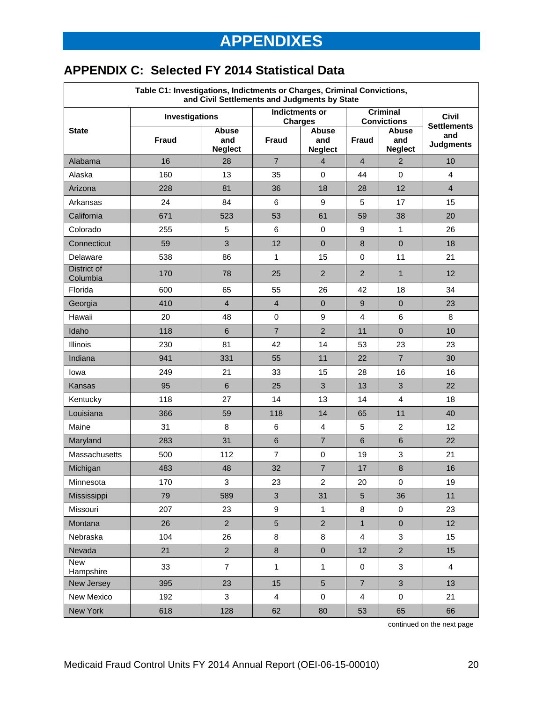## **APPENDIX C: Selected FY 2014 Statistical Data**

| Table C1: Investigations, Indictments or Charges, Criminal Convictions,<br>and Civil Settlements and Judgments by State |              |                                       |                                         |                                       |                                       |                                    |                         |
|-------------------------------------------------------------------------------------------------------------------------|--------------|---------------------------------------|-----------------------------------------|---------------------------------------|---------------------------------------|------------------------------------|-------------------------|
| <b>Investigations</b>                                                                                                   |              |                                       | <b>Indictments or</b><br><b>Charges</b> |                                       | <b>Criminal</b><br><b>Convictions</b> | <b>Civil</b><br><b>Settlements</b> |                         |
| <b>State</b>                                                                                                            | <b>Fraud</b> | <b>Abuse</b><br>and<br><b>Neglect</b> | <b>Fraud</b>                            | <b>Abuse</b><br>and<br><b>Neglect</b> | <b>Fraud</b>                          | Abuse<br>and<br><b>Neglect</b>     | and<br><b>Judgments</b> |
| Alabama                                                                                                                 | 16           | 28                                    | $\overline{7}$                          | $\overline{4}$                        | $\overline{4}$                        | $\overline{2}$                     | 10                      |
| Alaska                                                                                                                  | 160          | 13                                    | 35                                      | 0                                     | 44                                    | $\mathbf 0$                        | 4                       |
| Arizona                                                                                                                 | 228          | 81                                    | 36                                      | 18                                    | 28                                    | 12                                 | $\overline{4}$          |
| Arkansas                                                                                                                | 24           | 84                                    | 6                                       | 9                                     | 5                                     | 17                                 | 15                      |
| California                                                                                                              | 671          | 523                                   | 53                                      | 61                                    | 59                                    | 38                                 | 20                      |
| Colorado                                                                                                                | 255          | 5                                     | 6                                       | $\mathbf 0$                           | 9                                     | $\mathbf{1}$                       | 26                      |
| Connecticut                                                                                                             | 59           | 3                                     | 12                                      | $\mathbf 0$                           | $\bf 8$                               | $\mathbf{0}$                       | 18                      |
| Delaware                                                                                                                | 538          | 86                                    | $\mathbf{1}$                            | 15                                    | $\mathbf 0$                           | 11                                 | 21                      |
| District of<br>Columbia                                                                                                 | 170          | 78                                    | 25                                      | $\overline{2}$                        | $\overline{2}$                        | $\mathbf{1}$                       | 12                      |
| Florida                                                                                                                 | 600          | 65                                    | 55                                      | 26                                    | 42                                    | 18                                 | 34                      |
| Georgia                                                                                                                 | 410          | $\overline{4}$                        | $\overline{4}$                          | $\mathbf 0$                           | 9                                     | $\mathbf{0}$                       | 23                      |
| Hawaii                                                                                                                  | 20           | 48                                    | $\pmb{0}$                               | 9                                     | 4                                     | 6                                  | 8                       |
| Idaho                                                                                                                   | 118          | $6\phantom{1}$                        | $\overline{7}$                          | $\overline{2}$                        | 11                                    | $\overline{0}$                     | 10                      |
| <b>Illinois</b>                                                                                                         | 230          | 81                                    | 42                                      | 14                                    | 53                                    | 23                                 | 23                      |
| Indiana                                                                                                                 | 941          | 331                                   | 55                                      | 11                                    | 22                                    | $\overline{7}$                     | 30                      |
| lowa                                                                                                                    | 249          | 21                                    | 33                                      | 15                                    | 28                                    | 16                                 | 16                      |
| Kansas                                                                                                                  | 95           | $\,6$                                 | 25                                      | 3                                     | 13                                    | 3                                  | 22                      |
| Kentucky                                                                                                                | 118          | 27                                    | 14                                      | 13                                    | 14                                    | 4                                  | 18                      |
| Louisiana                                                                                                               | 366          | 59                                    | 118                                     | 14                                    | 65                                    | 11                                 | 40                      |
| Maine                                                                                                                   | 31           | 8                                     | 6                                       | 4                                     | 5                                     | 2                                  | 12                      |
| Maryland                                                                                                                | 283          | 31                                    | $6\phantom{1}$                          | $\overline{7}$                        | $6\phantom{1}$                        | $6\phantom{1}$                     | 22                      |
| Massachusetts                                                                                                           | 500          | 112                                   | $\overline{7}$                          | $\mathbf 0$                           | 19                                    | 3                                  | 21                      |
| Michigan                                                                                                                | 483          | 48                                    | 32                                      | $\overline{7}$                        | 17                                    | $\bf 8$                            | 16                      |
| Minnesota                                                                                                               | 170          | 3                                     | 23                                      | 2                                     | 20                                    | 0                                  | 19                      |
| Mississippi                                                                                                             | 79           | 589                                   | $\mathfrak{B}$                          | 31                                    | 5                                     | 36                                 | 11                      |
| Missouri                                                                                                                | 207          | 23                                    | 9                                       | 1                                     | 8                                     | $\pmb{0}$                          | 23                      |
| Montana                                                                                                                 | 26           | $\overline{2}$                        | $\overline{5}$                          | $\overline{2}$                        | $\mathbf{1}$                          | $\pmb{0}$                          | 12                      |
| Nebraska                                                                                                                | 104          | 26                                    | 8                                       | $\bf 8$                               | $\overline{4}$                        | $\mathbf{3}$                       | 15                      |
| Nevada                                                                                                                  | 21           | $\overline{2}$                        | $\bf 8$                                 | $\mathbf 0$                           | 12                                    | $\overline{2}$                     | 15                      |
| <b>New</b><br>Hampshire                                                                                                 | 33           | $\overline{7}$                        | $\mathbf{1}$                            | $\mathbf{1}$                          | 0                                     | 3                                  | $\overline{4}$          |
| New Jersey                                                                                                              | 395          | 23                                    | 15                                      | $\overline{5}$                        | $\overline{7}$                        | $\mathbf{3}$                       | 13                      |
| New Mexico                                                                                                              | 192          | 3                                     | $\overline{4}$                          | $\pmb{0}$                             | 4                                     | 0                                  | 21                      |
| New York                                                                                                                | 618          | 128                                   | 62                                      | 80                                    | 53                                    | 65                                 | 66                      |

continued on the next page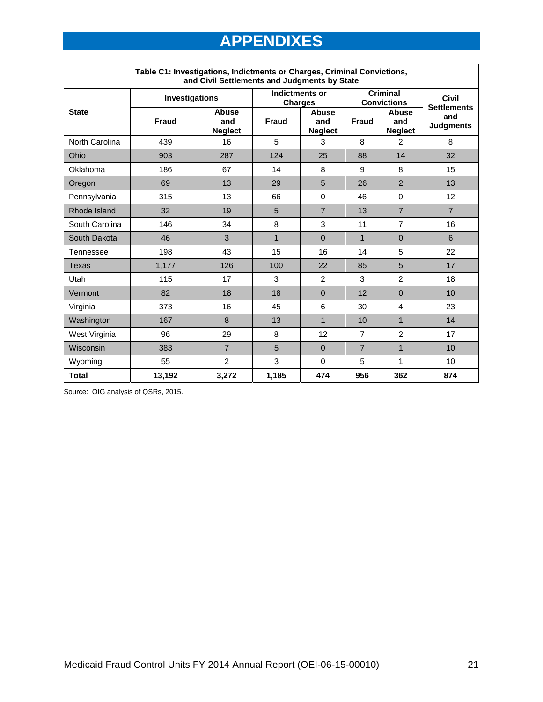| Table C1: Investigations, Indictments or Charges, Criminal Convictions,<br>and Civil Settlements and Judgments by State |                       |                                       |                                         |                                       |                                       |                                       |                             |
|-------------------------------------------------------------------------------------------------------------------------|-----------------------|---------------------------------------|-----------------------------------------|---------------------------------------|---------------------------------------|---------------------------------------|-----------------------------|
|                                                                                                                         | <b>Investigations</b> |                                       | <b>Indictments or</b><br><b>Charges</b> |                                       | <b>Criminal</b><br><b>Convictions</b> |                                       | Civil<br><b>Settlements</b> |
| <b>State</b>                                                                                                            | <b>Fraud</b>          | <b>Abuse</b><br>and<br><b>Neglect</b> | <b>Fraud</b>                            | <b>Abuse</b><br>and<br><b>Neglect</b> | <b>Fraud</b>                          | <b>Abuse</b><br>and<br><b>Neglect</b> | and<br><b>Judgments</b>     |
| North Carolina                                                                                                          | 439                   | 16                                    | 5                                       | 3                                     | 8                                     | $\overline{2}$                        | 8                           |
| Ohio                                                                                                                    | 903                   | 287                                   | 124                                     | 25                                    | 88                                    | 14                                    | 32                          |
| Oklahoma                                                                                                                | 186                   | 67                                    | 14                                      | 8                                     | 9                                     | 8                                     | 15                          |
| Oregon                                                                                                                  | 69                    | 13                                    | 29                                      | 5                                     | 26                                    | $\overline{2}$                        | 13                          |
| Pennsylvania                                                                                                            | 315                   | 13                                    | 66                                      | $\mathbf 0$                           | 46                                    | $\mathbf 0$                           | 12                          |
| Rhode Island                                                                                                            | 32                    | 19                                    | 5                                       | $\overline{7}$                        | 13                                    | $\overline{7}$                        | $\overline{7}$              |
| South Carolina                                                                                                          | 146                   | 34                                    | 8                                       | 3                                     | 11                                    | $\overline{7}$                        | 16                          |
| South Dakota                                                                                                            | 46                    | 3                                     | $\mathbf{1}$                            | $\Omega$                              | $\mathbf{1}$                          | $\Omega$                              | 6                           |
| Tennessee                                                                                                               | 198                   | 43                                    | 15                                      | 16                                    | 14                                    | 5                                     | 22                          |
| Texas                                                                                                                   | 1,177                 | 126                                   | 100                                     | 22                                    | 85                                    | 5                                     | 17                          |
| Utah                                                                                                                    | 115                   | 17                                    | 3                                       | $\overline{2}$                        | 3                                     | $\overline{2}$                        | 18                          |
| Vermont                                                                                                                 | 82                    | 18                                    | 18                                      | $\Omega$                              | 12                                    | $\Omega$                              | 10                          |
| Virginia                                                                                                                | 373                   | 16                                    | 45                                      | 6                                     | 30                                    | 4                                     | 23                          |
| Washington                                                                                                              | 167                   | 8                                     | 13                                      | $\overline{1}$                        | 10                                    | $\mathbf{1}$                          | 14                          |
| West Virginia                                                                                                           | 96                    | 29                                    | 8                                       | 12                                    | $\overline{7}$                        | $\overline{2}$                        | 17                          |
| Wisconsin                                                                                                               | 383                   | $\overline{7}$                        | 5                                       | $\Omega$                              | $\overline{7}$                        | $\mathbf{1}$                          | 10                          |
| Wyoming                                                                                                                 | 55                    | $\overline{2}$                        | 3                                       | $\Omega$                              | 5                                     | 1                                     | 10                          |
| <b>Total</b>                                                                                                            | 13,192                | 3,272                                 | 1,185                                   | 474                                   | 956                                   | 362                                   | 874                         |

Source: OIG analysis of QSRs, 2015.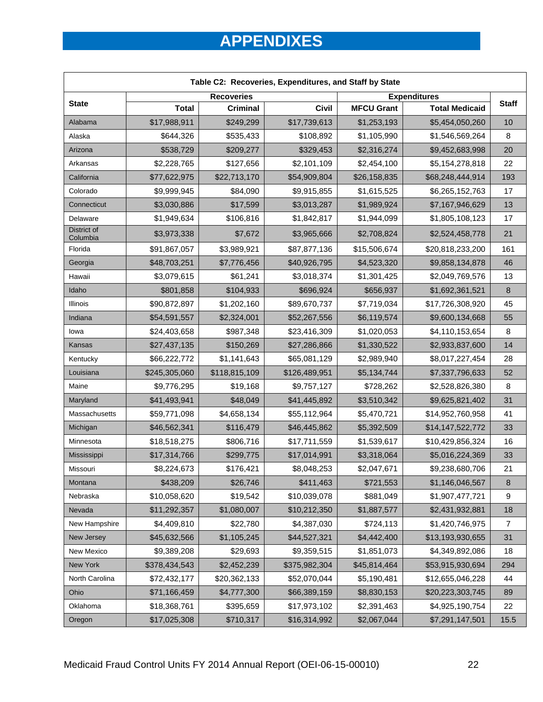| Table C2: Recoveries, Expenditures, and Staff by State |               |                   |               |                   |                       |              |
|--------------------------------------------------------|---------------|-------------------|---------------|-------------------|-----------------------|--------------|
| <b>State</b>                                           |               | <b>Recoveries</b> |               |                   | <b>Expenditures</b>   | <b>Staff</b> |
|                                                        | <b>Total</b>  | <b>Criminal</b>   | <b>Civil</b>  | <b>MFCU Grant</b> | <b>Total Medicaid</b> |              |
| Alabama                                                | \$17,988,911  | \$249,299         | \$17,739,613  | \$1,253,193       | \$5,454,050,260       | 10           |
| Alaska                                                 | \$644,326     | \$535,433         | \$108,892     | \$1,105,990       | \$1,546,569,264       | 8            |
| Arizona                                                | \$538,729     | \$209,277         | \$329,453     | \$2,316,274       | \$9,452,683,998       | 20           |
| Arkansas                                               | \$2,228,765   | \$127,656         | \$2,101,109   | \$2,454,100       | \$5,154,278,818       | 22           |
| California                                             | \$77,622,975  | \$22,713,170      | \$54,909,804  | \$26,158,835      | \$68,248,444,914      | 193          |
| Colorado                                               | \$9,999,945   | \$84,090          | \$9,915,855   | \$1,615,525       | \$6,265,152,763       | 17           |
| Connecticut                                            | \$3,030,886   | \$17,599          | \$3,013,287   | \$1,989,924       | \$7,167,946,629       | 13           |
| Delaware                                               | \$1,949,634   | \$106,816         | \$1,842,817   | \$1,944,099       | \$1,805,108,123       | 17           |
| District of<br>Columbia                                | \$3,973,338   | \$7,672           | \$3,965,666   | \$2,708,824       | \$2,524,458,778       | 21           |
| Florida                                                | \$91,867,057  | \$3,989,921       | \$87,877,136  | \$15,506,674      | \$20,818,233,200      | 161          |
| Georgia                                                | \$48,703,251  | \$7,776,456       | \$40,926,795  | \$4,523,320       | \$9,858,134,878       | 46           |
| Hawaii                                                 | \$3,079,615   | \$61,241          | \$3,018,374   | \$1,301,425       | \$2,049,769,576       | 13           |
| Idaho                                                  | \$801,858     | \$104,933         | \$696,924     | \$656,937         | \$1,692,361,521       | $\bf 8$      |
| Illinois                                               | \$90,872,897  | \$1,202,160       | \$89,670,737  | \$7,719,034       | \$17,726,308,920      | 45           |
| Indiana                                                | \$54,591,557  | \$2,324,001       | \$52,267,556  | \$6,119,574       | \$9,600,134,668       | 55           |
| lowa                                                   | \$24,403,658  | \$987,348         | \$23,416,309  | \$1,020,053       | \$4,110,153,654       | 8            |
| Kansas                                                 | \$27,437,135  | \$150,269         | \$27,286,866  | \$1,330,522       | \$2,933,837,600       | 14           |
| Kentucky                                               | \$66,222,772  | \$1,141,643       | \$65,081,129  | \$2,989,940       | \$8,017,227,454       | 28           |
| Louisiana                                              | \$245,305,060 | \$118,815,109     | \$126,489,951 | \$5,134,744       | \$7,337,796,633       | 52           |
| Maine                                                  | \$9,776,295   | \$19,168          | \$9,757,127   | \$728,262         | \$2,528,826,380       | 8            |
| Maryland                                               | \$41,493,941  | \$48,049          | \$41,445,892  | \$3,510,342       | \$9,625,821,402       | 31           |
| Massachusetts                                          | \$59,771,098  | \$4,658,134       | \$55,112,964  | \$5,470,721       | \$14,952,760,958      | 41           |
| Michigan                                               | \$46,562,341  | \$116,479         | \$46,445,862  | \$5,392,509       | \$14,147,522,772      | 33           |
| Minnesota                                              | \$18,518,275  | \$806,716         | \$17,711,559  | \$1,539,617       | \$10,429,856,324      | 16           |
| Mississippi                                            | \$17,314,766  | \$299,775         | \$17,014,991  | \$3,318,064       | \$5,016,224,369       | 33           |
| Missouri                                               | \$8,224,673   | \$176,421         | \$8,048,253   | \$2,047,671       | \$9,238,680,706       | 21           |
| Montana                                                | \$438,209     | \$26,746          | \$411,463     | \$721,553         | \$1,146,046,567       | 8            |
| Nebraska                                               | \$10,058,620  | \$19,542          | \$10,039,078  | \$881,049         | \$1,907,477,721       | 9            |
| Nevada                                                 | \$11,292,357  | \$1,080,007       | \$10,212,350  | \$1,887,577       | \$2,431,932,881       | 18           |
| New Hampshire                                          | \$4,409,810   | \$22,780          | \$4,387,030   | \$724,113         | \$1,420,746,975       | 7            |
| New Jersey                                             | \$45,632,566  | \$1,105,245       | \$44,527,321  | \$4,442,400       | \$13,193,930,655      | 31           |
| New Mexico                                             | \$9,389,208   | \$29,693          | \$9,359,515   | \$1,851,073       | \$4,349,892,086       | 18           |
| New York                                               | \$378,434,543 | \$2,452,239       | \$375,982,304 | \$45,814,464      | \$53,915,930,694      | 294          |
| North Carolina                                         | \$72,432,177  | \$20,362,133      | \$52,070,044  | \$5,190,481       | \$12,655,046,228      | 44           |
| Ohio                                                   | \$71,166,459  | \$4,777,300       | \$66,389,159  | \$8,830,153       | \$20,223,303,745      | 89           |
| Oklahoma                                               | \$18,368,761  | \$395,659         | \$17,973,102  | \$2,391,463       | \$4,925,190,754       | 22           |
| Oregon                                                 | \$17,025,308  | \$710,317         | \$16,314,992  | \$2,067,044       | \$7,291,147,501       | 15.5         |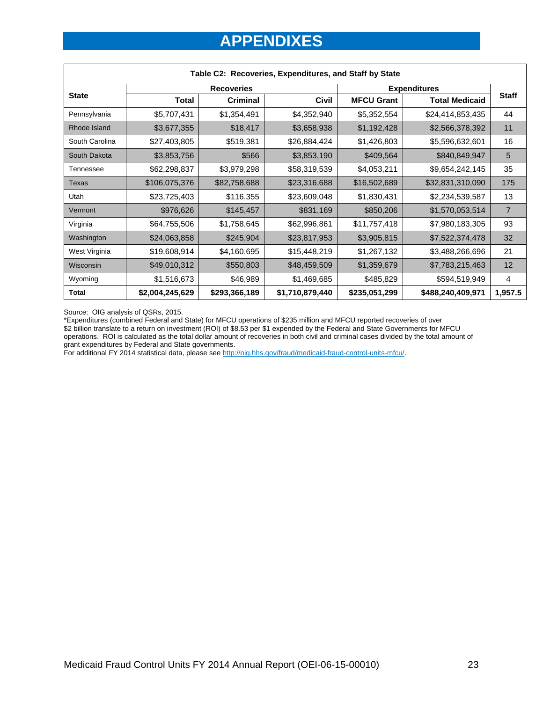| Table C2: Recoveries, Expenditures, and Staff by State |                   |               |                 |                     |                       |                |  |
|--------------------------------------------------------|-------------------|---------------|-----------------|---------------------|-----------------------|----------------|--|
|                                                        | <b>Recoveries</b> |               |                 | <b>Expenditures</b> |                       |                |  |
| <b>State</b>                                           | <b>Total</b>      | Criminal      | Civil           | <b>MFCU Grant</b>   | <b>Total Medicaid</b> | <b>Staff</b>   |  |
| Pennsylvania                                           | \$5,707,431       | \$1,354,491   | \$4,352,940     | \$5,352,554         | \$24,414,853,435      | 44             |  |
| Rhode Island                                           | \$3,677,355       | \$18,417      | \$3,658,938     | \$1,192,428         | \$2,566,378,392       | 11             |  |
| South Carolina                                         | \$27,403,805      | \$519,381     | \$26,884,424    | \$1,426,803         | \$5,596,632,601       | 16             |  |
| South Dakota                                           | \$3,853,756       | \$566         | \$3,853,190     | \$409,564           | \$840,849,947         | 5              |  |
| Tennessee                                              | \$62,298,837      | \$3,979,298   | \$58,319,539    | \$4,053,211         | \$9,654,242,145       | 35             |  |
| Texas                                                  | \$106,075,376     | \$82,758,688  | \$23,316,688    | \$16,502,689        | \$32,831,310,090      | 175            |  |
| Utah                                                   | \$23,725,403      | \$116,355     | \$23,609,048    | \$1,830,431         | \$2,234,539,587       | 13             |  |
| Vermont                                                | \$976,626         | \$145,457     | \$831,169       | \$850,206           | \$1,570,053,514       | $\overline{7}$ |  |
| Virginia                                               | \$64,755,506      | \$1,758,645   | \$62,996,861    | \$11,757,418        | \$7,980,183,305       | 93             |  |
| Washington                                             | \$24,063,858      | \$245,904     | \$23,817,953    | \$3,905,815         | \$7,522,374,478       | 32             |  |
| West Virginia                                          | \$19,608,914      | \$4,160,695   | \$15,448,219    | \$1,267,132         | \$3,488,266,696       | 21             |  |
| <b>Wisconsin</b>                                       | \$49,010,312      | \$550,803     | \$48,459,509    | \$1,359,679         | \$7,783,215,463       | 12             |  |
| Wyoming                                                | \$1,516,673       | \$46,989      | \$1,469,685     | \$485,829           | \$594,519,949         | 4              |  |
| <b>Total</b>                                           | \$2,004,245,629   | \$293,366,189 | \$1,710,879,440 | \$235,051,299       | \$488,240,409,971     | 1,957.5        |  |

Source: OIG analysis of QSRs, 2015.

\*Expenditures (combined Federal and State) for MFCU operations of \$235 million and MFCU reported recoveries of over

\$2 billion translate to a return on investment (ROI) of \$8.53 per \$1 expended by the Federal and State Governments for MFCU operations. ROI is calculated as the total dollar amount of recoveries in both civil and criminal cases divided by the total amount of

grant expenditures by Federal and State governments.<br>For additional FY 2014 statistical data, please see <u>http://oig.hhs.gov/fraud/medicaid-fraud-control-units-mfcu/</u>. For additional FY 2014 statistical data, please see http://oig.hhs.gov/fraud/medicaid-fraud-control-units-mfcu/.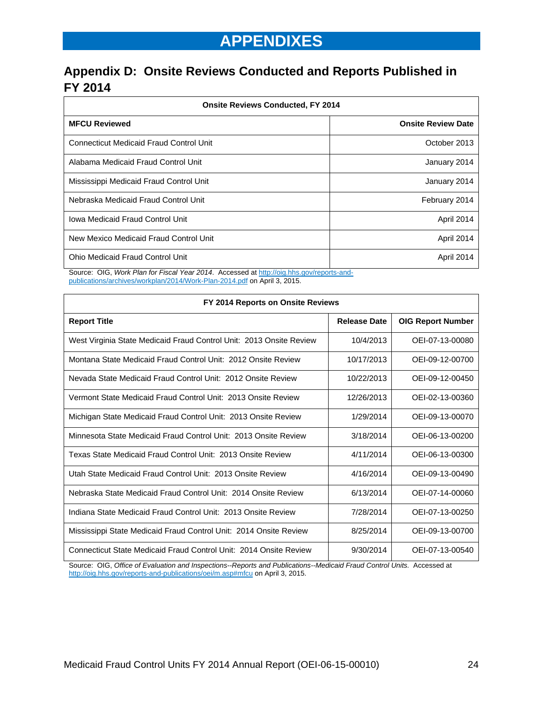## **Appendix D: Onsite Reviews Conducted and Reports Published in FY 2014**

| <b>Onsite Reviews Conducted, FY 2014</b>       |                           |  |  |  |
|------------------------------------------------|---------------------------|--|--|--|
| <b>MFCU Reviewed</b>                           | <b>Onsite Review Date</b> |  |  |  |
| <b>Connecticut Medicaid Fraud Control Unit</b> | October 2013              |  |  |  |
| Alabama Medicaid Fraud Control Unit            | January 2014              |  |  |  |
| Mississippi Medicaid Fraud Control Unit        | January 2014              |  |  |  |
| Nebraska Medicaid Fraud Control Unit           | February 2014             |  |  |  |
| Iowa Medicaid Fraud Control Unit               | April 2014                |  |  |  |
| New Mexico Medicaid Fraud Control Unit         | April 2014                |  |  |  |
| Ohio Medicaid Fraud Control Unit               | April 2014                |  |  |  |

Source: OIG, *Work Plan for Fiscal Year 2014*. Accessed at http://oig.hhs.gov/reports-andpublications/archives/workplan/2014/Work-Plan-2014.pdf on April 3, 2015.

| FY 2014 Reports on Onsite Reviews                                   |                     |                          |  |  |  |  |
|---------------------------------------------------------------------|---------------------|--------------------------|--|--|--|--|
| <b>Report Title</b>                                                 | <b>Release Date</b> | <b>OIG Report Number</b> |  |  |  |  |
| West Virginia State Medicaid Fraud Control Unit: 2013 Onsite Review | 10/4/2013           | OEI-07-13-00080          |  |  |  |  |
| Montana State Medicaid Fraud Control Unit: 2012 Onsite Review       | 10/17/2013          | OEI-09-12-00700          |  |  |  |  |
| Nevada State Medicaid Fraud Control Unit: 2012 Onsite Review        | 10/22/2013          | OEI-09-12-00450          |  |  |  |  |
| Vermont State Medicaid Fraud Control Unit: 2013 Onsite Review       | 12/26/2013          | OEI-02-13-00360          |  |  |  |  |
| Michigan State Medicaid Fraud Control Unit: 2013 Onsite Review      | 1/29/2014           | OEI-09-13-00070          |  |  |  |  |
| Minnesota State Medicaid Fraud Control Unit: 2013 Onsite Review     | 3/18/2014           | OEI-06-13-00200          |  |  |  |  |
| Texas State Medicaid Fraud Control Unit: 2013 Onsite Review         | 4/11/2014           | OEI-06-13-00300          |  |  |  |  |
| Utah State Medicaid Fraud Control Unit: 2013 Onsite Review          | 4/16/2014           | OEI-09-13-00490          |  |  |  |  |
| Nebraska State Medicaid Fraud Control Unit: 2014 Onsite Review      | 6/13/2014           | OEI-07-14-00060          |  |  |  |  |
| Indiana State Medicaid Fraud Control Unit: 2013 Onsite Review       | 7/28/2014           | OEI-07-13-00250          |  |  |  |  |
| Mississippi State Medicaid Fraud Control Unit: 2014 Onsite Review   | 8/25/2014           | OEI-09-13-00700          |  |  |  |  |
| Connecticut State Medicaid Fraud Control Unit: 2014 Onsite Review   | 9/30/2014           | OEI-07-13-00540          |  |  |  |  |

Source: OIG, *Office of Evaluation and Inspections--Reports and Publications--Medicaid Fraud Control Units.* Accessed at http://oig.hhs.gov/reports-and-publications/oei/m.asp#mfcu on April 3, 2015.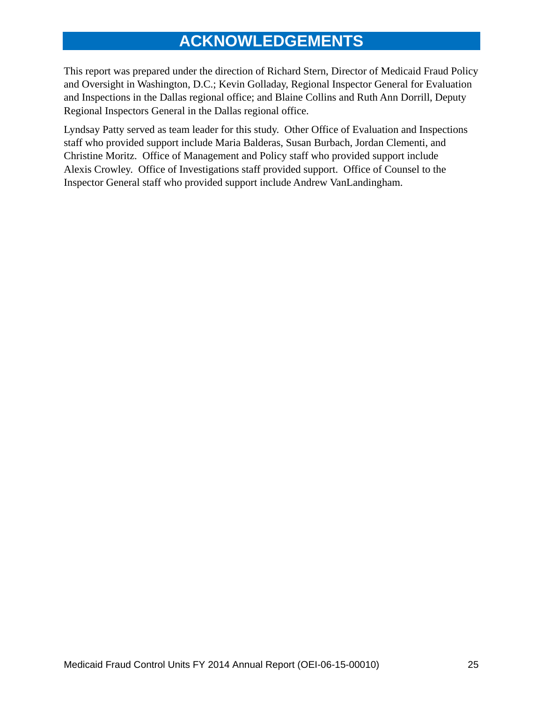## **ACKNOWLEDGEMENTS**

This report was prepared under the direction of Richard Stern, Director of Medicaid Fraud Policy and Oversight in Washington, D.C.; Kevin Golladay, Regional Inspector General for Evaluation and Inspections in the Dallas regional office; and Blaine Collins and Ruth Ann Dorrill, Deputy Regional Inspectors General in the Dallas regional office.

Lyndsay Patty served as team leader for this study. Other Office of Evaluation and Inspections staff who provided support include Maria Balderas, Susan Burbach, Jordan Clementi, and Christine Moritz. Office of Management and Policy staff who provided support include Alexis Crowley. Office of Investigations staff provided support. Office of Counsel to the Inspector General staff who provided support include Andrew VanLandingham.